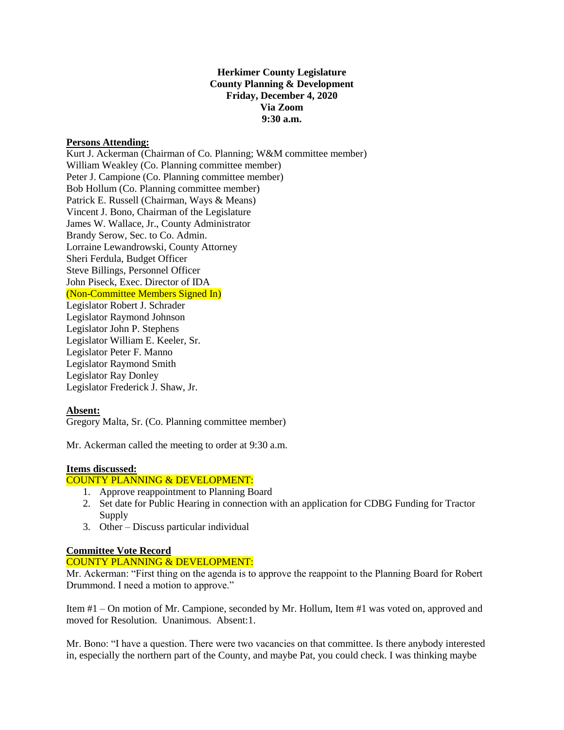# **Herkimer County Legislature County Planning & Development Friday, December 4, 2020 Via Zoom 9:30 a.m.**

#### **Persons Attending:**

Kurt J. Ackerman (Chairman of Co. Planning; W&M committee member) William Weakley (Co. Planning committee member) Peter J. Campione (Co. Planning committee member) Bob Hollum (Co. Planning committee member) Patrick E. Russell (Chairman, Ways & Means) Vincent J. Bono, Chairman of the Legislature James W. Wallace, Jr., County Administrator Brandy Serow, Sec. to Co. Admin. Lorraine Lewandrowski, County Attorney Sheri Ferdula, Budget Officer Steve Billings, Personnel Officer John Piseck, Exec. Director of IDA (Non-Committee Members Signed In) Legislator Robert J. Schrader Legislator Raymond Johnson Legislator John P. Stephens Legislator William E. Keeler, Sr. Legislator Peter F. Manno Legislator Raymond Smith Legislator Ray Donley Legislator Frederick J. Shaw, Jr.

# **Absent:**

Gregory Malta, Sr. (Co. Planning committee member)

Mr. Ackerman called the meeting to order at 9:30 a.m.

# **Items discussed:**

# COUNTY PLANNING & DEVELOPMENT:

- 1. Approve reappointment to Planning Board
- 2. Set date for Public Hearing in connection with an application for CDBG Funding for Tractor Supply
- 3. Other Discuss particular individual

# **Committee Vote Record**

#### COUNTY PLANNING & DEVELOPMENT:

Mr. Ackerman: "First thing on the agenda is to approve the reappoint to the Planning Board for Robert Drummond. I need a motion to approve."

Item #1 – On motion of Mr. Campione, seconded by Mr. Hollum, Item #1 was voted on, approved and moved for Resolution. Unanimous. Absent:1.

Mr. Bono: "I have a question. There were two vacancies on that committee. Is there anybody interested in, especially the northern part of the County, and maybe Pat, you could check. I was thinking maybe